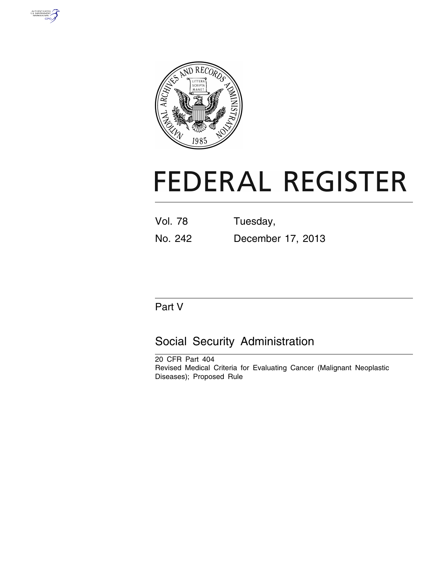



# **FEDERAL REGISTER**

| <b>Vol. 78</b> | Tuesday,          |
|----------------|-------------------|
| No. 242        | December 17, 2013 |

# Part V

# Social Security Administration

20 CFR Part 404 Revised Medical Criteria for Evaluating Cancer (Malignant Neoplastic Diseases); Proposed Rule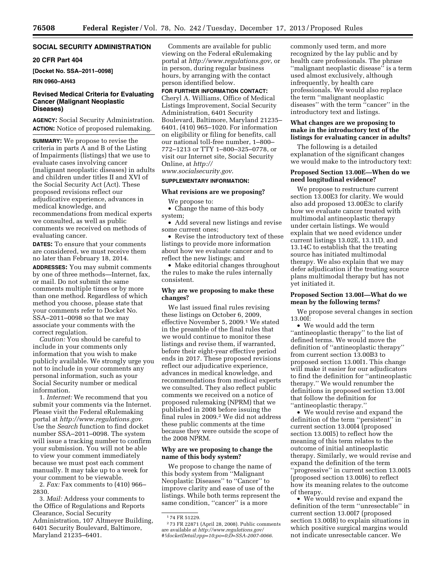# **SOCIAL SECURITY ADMINISTRATION**

# **20 CFR Part 404**

**[Docket No. SSA–2011–0098]** 

#### **RIN 0960–AH43**

# **Revised Medical Criteria for Evaluating Cancer (Malignant Neoplastic Diseases)**

**AGENCY:** Social Security Administration. **ACTION:** Notice of proposed rulemaking.

**SUMMARY:** We propose to revise the criteria in parts A and B of the Listing of Impairments (listings) that we use to evaluate cases involving cancer (malignant neoplastic diseases) in adults and children under titles II and XVI of the Social Security Act (Act). These proposed revisions reflect our adjudicative experience, advances in medical knowledge, and recommendations from medical experts we consulted, as well as public comments we received on methods of evaluating cancer.

**DATES:** To ensure that your comments are considered, we must receive them no later than February 18, 2014.

**ADDRESSES:** You may submit comments by one of three methods—Internet, fax, or mail. Do not submit the same comments multiple times or by more than one method. Regardless of which method you choose, please state that your comments refer to Docket No. SSA–2011–0098 so that we may associate your comments with the correct regulation.

*Caution:* You should be careful to include in your comments only information that you wish to make publicly available. We strongly urge you not to include in your comments any personal information, such as your Social Security number or medical information.

1. *Internet:* We recommend that you submit your comments via the Internet. Please visit the Federal eRulemaking portal at *<http://www.regulations.gov>*. Use the *Search* function to find docket number SSA–2011–0098. The system will issue a tracking number to confirm your submission. You will not be able to view your comment immediately because we must post each comment manually. It may take up to a week for your comment to be viewable.

2. *Fax:* Fax comments to (410) 966– 2830.

3. *Mail:* Address your comments to the Office of Regulations and Reports Clearance, Social Security Administration, 107 Altmeyer Building, 6401 Security Boulevard, Baltimore, Maryland 21235–6401.

Comments are available for public viewing on the Federal eRulemaking portal at *<http://www.regulations.gov>*, or in person, during regular business hours, by arranging with the contact person identified below.

### **FOR FURTHER INFORMATION CONTACT:**

Cheryl A. Williams, Office of Medical Listings Improvement, Social Security Administration, 6401 Security Boulevard, Baltimore, Maryland 21235– 6401, (410) 965–1020. For information on eligibility or filing for benefits, call our national toll-free number, 1–800– 772–1213 or TTY 1–800–325–0778, or visit our Internet site, Social Security Online, at *[http://](http://www.socialsecurity.gov)*

*[www.socialsecurity.gov](http://www.socialsecurity.gov)*.

# **SUPPLEMENTARY INFORMATION:**

# **What revisions are we proposing?**

We propose to:

• Change the name of this body system;

• Add several new listings and revise some current ones;

• Revise the introductory text of these listings to provide more information about how we evaluate cancer and to reflect the new listings; and

• Make editorial changes throughout the rules to make the rules internally consistent.

# **Why are we proposing to make these changes?**

We last issued final rules revising these listings on October 6, 2009, effective November 5, 2009.1 We stated in the preamble of the final rules that we would continue to monitor these listings and revise them, if warranted, before their eight-year effective period ends in 2017. These proposed revisions reflect our adjudicative experience, advances in medical knowledge, and recommendations from medical experts we consulted. They also reflect public comments we received on a notice of proposed rulemaking (NPRM) that we published in 2008 before issuing the final rules in 2009.2 We did not address these public comments at the time because they were outside the scope of the 2008 NPRM.

# **Why are we proposing to change the name of this body system?**

We propose to change the name of this body system from ''Malignant Neoplastic Diseases'' to ''Cancer'' to improve clarity and ease of use of the listings. While both terms represent the same condition, "cancer" is a more

commonly used term, and more recognized by the lay public and by health care professionals. The phrase ''malignant neoplastic disease'' is a term used almost exclusively, although infrequently, by health care professionals. We would also replace the term ''malignant neoplastic diseases'' with the term ''cancer'' in the introductory text and listings.

# **What changes are we proposing to make in the introductory text of the listings for evaluating cancer in adults?**

The following is a detailed explanation of the significant changes we would make to the introductory text:

# **Proposed Section 13.00E—When do we need longitudinal evidence?**

We propose to restructure current section 13.00E3 for clarity. We would also add proposed 13.00E3c to clarify how we evaluate cancer treated with multimodal antineoplastic therapy under certain listings. We would explain that we need evidence under current listings 13.02E, 13.11D, and 13.14C to establish that the treating source has initiated multimodal therapy. We also explain that we may defer adjudication if the treating source plans multimodal therapy but has not yet initiated it.

# **Proposed Section 13.00I—What do we mean by the following terms?**

We propose several changes in section 13.00I:

• We would add the term ''antineoplastic therapy'' to the list of defined terms. We would move the definition of ''antineoplastic therapy'' from current section 13.00B3 to proposed section 13.00I1. This change will make it easier for our adjudicators to find the definition for ''antineoplastic therapy.'' We would renumber the definitions in proposed section 13.00I that follow the definition for ''antineoplastic therapy.''

• We would revise and expand the definition of the term ''persistent'' in current section 13.00I4 (proposed section 13.00I5) to reflect how the meaning of this term relates to the outcome of initial antineoplastic therapy. Similarly, we would revise and expand the definition of the term ''progressive'' in current section 13.00I5 (proposed section 13.00I6) to reflect how its meaning relates to the outcome of therapy.

• We would revise and expand the definition of the term ''unresectable'' in current section 13.00I7 (proposed section 13.00I8) to explain situations in which positive surgical margins would not indicate unresectable cancer. We

<sup>1</sup> 74 FR 51229.

<sup>2</sup> 73 FR 22871 (April 28, 2008). Public comments are available at *[http://www.regulations.gov/](http://www.regulations.gov/#!docketDetail;rpp=10;po=0;D=SSA-2007-0066) [#!docketDetail;rpp=10;po=0;D=SSA-2007-0066](http://www.regulations.gov/#!docketDetail;rpp=10;po=0;D=SSA-2007-0066)*.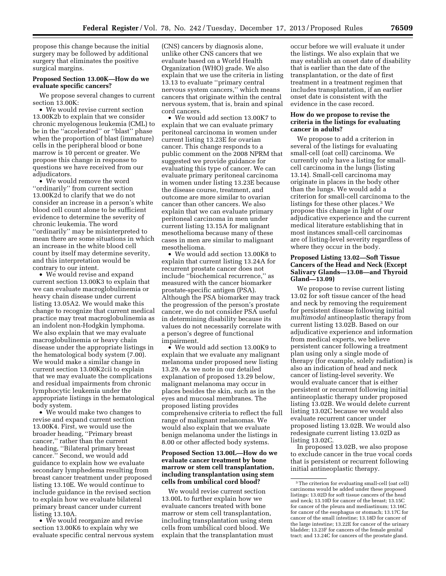propose this change because the initial surgery may be followed by additional surgery that eliminates the positive surgical margins.

# **Proposed Section 13.00K—How do we evaluate specific cancers?**

We propose several changes to current section 13.00K:

• We would revise current section 13.00K2b to explain that we consider chronic myelogenous leukemia (CML) to be in the ''accelerated'' or ''blast'' phase when the proportion of blast (immature) cells in the peripheral blood or bone marrow is 10 percent or greater. We propose this change in response to questions we have received from our adjudicators.

• We would remove the word ''ordinarily'' from current section 13.00K2d to clarify that we do not consider an increase in a person's white blood cell count alone to be sufficient evidence to determine the severity of chronic leukemia. The word ''ordinarily'' may be misinterpreted to mean there are some situations in which an increase in the white blood cell count by itself may determine severity, and this interpretation would be contrary to our intent.

• We would revise and expand current section 13.00K3 to explain that we can evaluate macroglobulinemia or heavy chain disease under current listing 13.05A2. We would make this change to recognize that current medical practice may treat macroglobulinemia as an indolent non-Hodgkin lymphoma. We also explain that we may evaluate macroglobulinemia or heavy chain disease under the appropriate listings in the hematological body system (7.00). We would make a similar change in current section 13.00K2cii to explain that we may evaluate the complications and residual impairments from chronic lymphocytic leukemia under the appropriate listings in the hematological body system.

• We would make two changes to revise and expand current section 13.00K4. First, we would use the broader heading, ''Primary breast cancer,'' rather than the current heading, ''Bilateral primary breast cancer.'' Second, we would add guidance to explain how we evaluate secondary lymphedema resulting from breast cancer treatment under proposed listing 13.10E. We would continue to include guidance in the revised section to explain how we evaluate bilateral primary breast cancer under current listing 13.10A.

• We would reorganize and revise section 13.00K6 to explain why we evaluate specific central nervous system

(CNS) cancers by diagnosis alone, unlike other CNS cancers that we evaluate based on a World Health Organization (WHO) grade. We also explain that we use the criteria in listing 13.13 to evaluate ''primary central nervous system cancers,'' which means cancers that originate within the central nervous system, that is, brain and spinal cord cancers.

• We would add section 13.00K7 to explain that we can evaluate primary peritoneal carcinoma in women under current listing 13.23E for ovarian cancer. This change responds to a public comment on the 2008 NPRM that suggested we provide guidance for evaluating this type of cancer. We can evaluate primary peritoneal carcinoma in women under listing 13.23E because the disease course, treatment, and outcome are more similar to ovarian cancer than other cancers. We also explain that we can evaluate primary peritoneal carcinoma in men under current listing 13.15A for malignant mesothelioma because many of these cases in men are similar to malignant mesothelioma.

• We would add section 13.00K8 to explain that current listing 13.24A for recurrent prostate cancer does not include ''biochemical recurrence,'' as measured with the cancer biomarker prostate-specific antigen (PSA). Although the PSA biomarker may track the progression of the person's prostate cancer, we do not consider PSA useful in determining disability because its values do not necessarily correlate with a person's degree of functional impairment.

• We would add section 13.00K9 to explain that we evaluate any malignant melanoma under proposed new listing 13.29. As we note in our detailed explanation of proposed 13.29 below, malignant melanoma may occur in places besides the skin, such as in the eyes and mucosal membranes. The proposed listing provides comprehensive criteria to reflect the full range of malignant melanomas. We would also explain that we evaluate benign melanoma under the listings in 8.00 or other affected body systems.

# **Proposed Section 13.00L—How do we evaluate cancer treatment by bone marrow or stem cell transplantation, including transplantation using stem cells from umbilical cord blood?**

We would revise current section 13.00L to further explain how we evaluate cancers treated with bone marrow or stem cell transplantation, including transplantation using stem cells from umbilical cord blood. We explain that the transplantation must

occur before we will evaluate it under the listings. We also explain that we may establish an onset date of disability that is earlier than the date of the transplantation, or the date of first treatment in a treatment regimen that includes transplantation, if an earlier onset date is consistent with the evidence in the case record.

# **How do we propose to revise the criteria in the listings for evaluating cancer in adults?**

We propose to add a criterion in several of the listings for evaluating small-cell (oat cell) carcinoma. We currently only have a listing for smallcell carcinoma in the lungs (listing 13.14). Small-cell carcinoma may originate in places in the body other than the lungs. We would add a criterion for small-cell carcinoma to the listings for these other places.3 We propose this change in light of our adjudicative experience and the current medical literature establishing that in most instances small-cell carcinomas are of listing-level severity regardless of where they occur in the body.

# **Proposed Listing 13.02—Soft Tissue Cancers of the Head and Neck (Except Salivary Glands—13.08—and Thyroid Gland—13.09)**

We propose to revise current listing 13.02 for soft tissue cancer of the head and neck by removing the requirement for persistent disease following initial *multimodal* antineoplastic therapy from current listing 13.02B. Based on our adjudicative experience and information from medical experts, we believe persistent cancer following a treatment plan using only a single mode of therapy (for example, solely radiation) is also an indication of head and neck cancer of listing-level severity. We would evaluate cancer that is either persistent or recurrent following initial antineoplastic therapy under proposed listing 13.02B. We would delete current listing 13.02C because we would also evaluate recurrent cancer under proposed listing 13.02B. We would also redesignate current listing 13.02D as listing 13.02C.

In proposed 13.02B, we also propose to exclude cancer in the true vocal cords that is persistent or recurrent following initial antineoplastic therapy.

<sup>3</sup>The criterion for evaluating small-cell (oat cell) carcinoma would be added under these proposed listings: 13.02D for soft tissue cancers of the head and neck; 13.10D for cancer of the breast; 13.15C for cancer of the pleura and mediastinum; 13.16C for cancer of the esophagus or stomach; 13.17C for cancer of the small intestine; 13.18D for cancer of the large intestine; 13.22E for cancer of the urinary bladder; 13.23F for cancers of the female genital tract; and 13.24C for cancers of the prostate gland.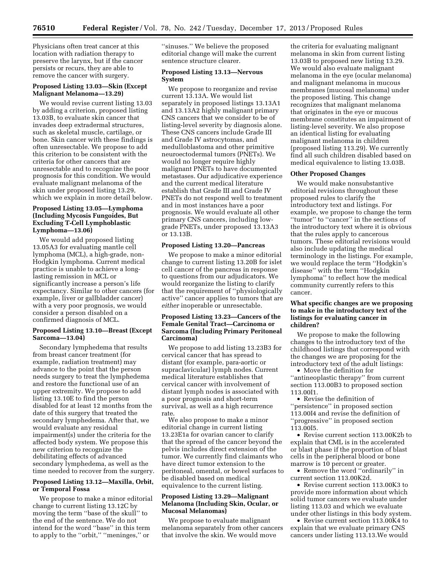Physicians often treat cancer at this location with radiation therapy to preserve the larynx, but if the cancer persists or recurs, they are able to remove the cancer with surgery.

# **Proposed Listing 13.03—Skin (Except Malignant Melanoma—13.29)**

We would revise current listing 13.03 by adding a criterion, proposed listing 13.03B, to evaluate skin cancer that invades deep extradermal structures, such as skeletal muscle, cartilage, or bone. Skin cancer with these findings is often unresectable. We propose to add this criterion to be consistent with the criteria for other cancers that are unresectable and to recognize the poor prognosis for this condition. We would evaluate malignant melanoma of the skin under proposed listing 13.29, which we explain in more detail below.

# **Proposed Listing 13.05—Lymphoma (Including Mycosis Fungoides, But Excluding T-Cell Lymphoblastic Lymphoma—13.06)**

We would add proposed listing 13.05A3 for evaluating mantle cell lymphoma (MCL), a high-grade, non-Hodgkin lymphoma. Current medical practice is unable to achieve a longlasting remission in MCL or significantly increase a person's life expectancy. Similar to other cancers (for example, liver or gallbladder cancer) with a very poor prognosis, we would consider a person disabled on a confirmed diagnosis of MCL.

# **Proposed Listing 13.10—Breast (Except Sarcoma—13.04)**

Secondary lymphedema that results from breast cancer treatment (for example, radiation treatment) may advance to the point that the person needs surgery to treat the lymphedema and restore the functional use of an upper extremity. We propose to add listing 13.10E to find the person disabled for at least 12 months from the date of this surgery that treated the secondary lymphedema. After that, we would evaluate any residual impairment(s) under the criteria for the affected body system. We propose this new criterion to recognize the debilitating effects of advanced secondary lymphedema, as well as the time needed to recover from the surgery.

# **Proposed Listing 13.12—Maxilla, Orbit, or Temporal Fossa**

We propose to make a minor editorial change to current listing 13.12C by moving the term ''base of the skull'' to the end of the sentence. We do not intend for the word ''base'' in this term to apply to the ''orbit,'' ''meninges,'' or

''sinuses.'' We believe the proposed editorial change will make the current sentence structure clearer.

#### **Proposed Listing 13.13—Nervous System**

We propose to reorganize and revise current 13.13A. We would list separately in proposed listings 13.13A1 and 13.13A2 highly malignant primary CNS cancers that we consider to be of listing-level severity by diagnosis alone. These CNS cancers include Grade III and Grade IV astrocytomas, and medulloblastoma and other primitive neuroectodermal tumors (PNETs). We would no longer require highly malignant PNETs to have documented metastases. Our adjudicative experience and the current medical literature establish that Grade III and Grade IV PNETs do not respond well to treatment and in most instances have a poor prognosis. We would evaluate all other primary CNS cancers, including lowgrade PNETs, under proposed 13.13A3 or 13.13B.

#### **Proposed Listing 13.20—Pancreas**

We propose to make a minor editorial change to current listing 13.20B for islet cell cancer of the pancreas in response to questions from our adjudicators. We would reorganize the listing to clarify that the requirement of ''physiologically active'' cancer applies to tumors that are *either* inoperable or unresectable.

# **Proposed Listing 13.23—Cancers of the Female Genital Tract—Carcinoma or Sarcoma (Including Primary Peritoneal Carcinoma)**

We propose to add listing 13.23B3 for cervical cancer that has spread to distant (for example, para-aortic or supraclavicular) lymph nodes. Current medical literature establishes that cervical cancer with involvement of distant lymph nodes is associated with a poor prognosis and short-term survival, as well as a high recurrence rate.

We also propose to make a minor editorial change in current listing 13.23E1a for ovarian cancer to clarify that the spread of the cancer beyond the pelvis includes direct extension of the tumor. We currently find claimants who have direct tumor extension to the peritoneal, omental, or bowel surfaces to be disabled based on medical equivalence to the current listing.

# **Proposed Listing 13.29—Malignant Melanoma (Including Skin, Ocular, or Mucosal Melanomas)**

We propose to evaluate malignant melanoma separately from other cancers that involve the skin. We would move

the criteria for evaluating malignant melanoma in skin from current listing 13.03B to proposed new listing 13.29. We would also evaluate malignant melanoma in the eye (ocular melanoma) and malignant melanoma in mucous membranes (mucosal melanoma) under the proposed listing. This change recognizes that malignant melanoma that originates in the eye or mucous membrane constitutes an impairment of listing-level severity. We also propose an identical listing for evaluating malignant melanoma in children (proposed listing 113.29). We currently find all such children disabled based on medical equivalence to listing 13.03B.

#### **Other Proposed Changes**

We would make nonsubstantive editorial revisions throughout these proposed rules to clarify the introductory text and listings. For example, we propose to change the term ''tumor'' to ''cancer'' in the sections of the introductory text where it is obvious that the rules apply to cancerous tumors. These editorial revisions would also include updating the medical terminology in the listings. For example, we would replace the term ''Hodgkin's disease'' with the term ''Hodgkin lymphoma'' to reflect how the medical community currently refers to this cancer.

# **What specific changes are we proposing to make in the introductory text of the listings for evaluating cancer in children?**

We propose to make the following changes to the introductory text of the childhood listings that correspond with the changes we are proposing for the introductory text of the adult listings:

• Move the definition for ''antineoplastic therapy'' from current section 113.00B3 to proposed section 113.00I1.

• Revise the definition of ''persistence'' in proposed section 113.00I4 and revise the definition of ''progressive'' in proposed section 113.00I5.

• Revise current section 113.00K2b to explain that CML is in the accelerated or blast phase if the proportion of blast cells in the peripheral blood or bone marrow is 10 percent or greater.

• Remove the word ''ordinarily'' in current section 113.00K2d.

• Revise current section 113.00K3 to provide more information about which solid tumor cancers we evaluate under listing 113.03 and which we evaluate under other listings in this body system.

• Revise current section 113.00K4 to explain that we evaluate primary CNS cancers under listing 113.13.We would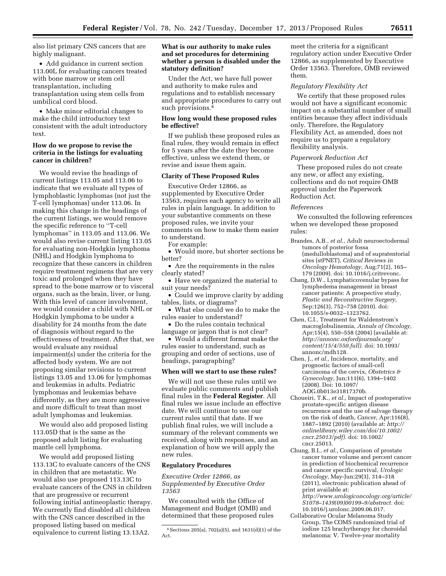also list primary CNS cancers that are highly malignant.

• Add guidance in current section 113.00L for evaluating cancers treated with bone marrow or stem cell transplantation, including transplantation using stem cells from umbilical cord blood.

• Make minor editorial changes to make the child introductory text consistent with the adult introductory text.

# **How do we propose to revise the criteria in the listings for evaluating cancer in children?**

We would revise the headings of current listings 113.05 and 113.06 to indicate that we evaluate all types of lymphoblastic lymphomas (not just the T-cell lymphomas) under 113.06. In making this change in the headings of the current listings, we would remove the specific reference to ''T-cell lymphomas'' in 113.05 and 113.06. We would also revise current listing 113.05 for evaluating non-Hodgkin lymphoma (NHL) and Hodgkin lymphoma to recognize that these cancers in children require treatment regimens that are very toxic and prolonged when they have spread to the bone marrow or to visceral organs, such as the brain, liver, or lung. With this level of cancer involvement. we would consider a child with NHL or Hodgkin lymphoma to be under a disability for 24 months from the date of diagnosis without regard to the effectiveness of treatment. After that, we would evaluate any residual impairment(s) under the criteria for the affected body system. We are not proposing similar revisions to current listings 13.05 and 13.06 for lymphomas and leukemias in adults. Pediatric lymphomas and leukemias behave differently, as they are more aggressive and more difficult to treat than most adult lymphomas and leukemias.

We would also add proposed listing 113.05D that is the same as the proposed adult listing for evaluating mantle cell lymphoma.

We would add proposed listing 113.13C to evaluate cancers of the CNS in children that are metastatic. We would also use proposed 113.13C to evaluate cancers of the CNS in children that are progressive or recurrent following initial antineoplastic therapy. We currently find disabled all children with the CNS cancer described in the proposed listing based on medical equivalence to current listing 13.13A2.

# **What is our authority to make rules and set procedures for determining whether a person is disabled under the statutory definition?**

Under the Act, we have full power and authority to make rules and regulations and to establish necessary and appropriate procedures to carry out such provisions.4

# **How long would these proposed rules be effective?**

If we publish these proposed rules as final rules, they would remain in effect for 5 years after the date they become effective, unless we extend them, or revise and issue them again.

# **Clarity of These Proposed Rules**

Executive Order 12866, as supplemented by Executive Order 13563, requires each agency to write all rules in plain language. In addition to your substantive comments on these proposed rules, we invite your comments on how to make them easier to understand.

For example:

• Would more, but shorter sections be better?

• Are the requirements in the rules clearly stated?

• Have we organized the material to suit your needs?

• Could we improve clarity by adding tables, lists, or diagrams?

• What else could we do to make the rules easier to understand?

• Do the rules contain technical language or jargon that is not clear?

• Would a different format make the rules easier to understand, such as grouping and order of sections, use of headings, paragraphing?

# **When will we start to use these rules?**

We will not use these rules until we evaluate public comments and publish final rules in the **Federal Register**. All final rules we issue include an effective date. We will continue to use our current rules until that date. If we publish final rules, we will include a summary of the relevant comments we received, along with responses, and an explanation of how we will apply the new rules.

#### **Regulatory Procedures**

*Executive Order 12866, as Supplemented by Executive Order 13563* 

We consulted with the Office of Management and Budget (OMB) and determined that these proposed rules meet the criteria for a significant regulatory action under Executive Order 12866, as supplemented by Executive Order 13563. Therefore, OMB reviewed them.

# *Regulatory Flexibility Act*

We certify that these proposed rules would not have a significant economic impact on a substantial number of small entities because they affect individuals only. Therefore, the Regulatory Flexibility Act, as amended, does not require us to prepare a regulatory flexibility analysis.

#### *Paperwork Reduction Act*

These proposed rules do not create any new, or affect any existing, collections and do not require OMB approval under the Paperwork Reduction Act.

#### *References*

We consulted the following references when we developed these proposed rules:

- Brandes, A.B., *et al.,* Adult neuroectodermal tumors of posterior fossa (medulloblastoma) and of supratentorial sites (stPNET), *Critical Reviews in Oncology Hematology,* Aug;71(2), 165– 179 (2009). doi: 10.1016/j.critrevonc.
- Chang, D.W., Lymphaticovenular bypass for lymphedema management in breast cancer patients: A prospective study, *Plastic and Reconstructive Surgery,*  Sep;126(3), 752–758 (2010). doi: 10.1055/s-0032–1323762.
- Chen, C.I., Treatment for Waldenstrom's macroglobulinemia, *Annals of Oncology,*  Apr;15(4), 550–558 (2004) (available at: *[http://annonc.oxfordjournals.org/](http://annonc.oxfordjournals.org/content/15/4/550.full) [content/15/4/550.full\).](http://annonc.oxfordjournals.org/content/15/4/550.full)* doi: 10.1093/ annonc/mdh128.
- Chen, J., *et al.,* Incidence, mortality, and prognostic factors of small-cell carcinoma of the cervix, *Obstetrics & Gynecology,* Jun;111(6), 1394–1402 (2008). Doi: 10.1097/ AOG.0b013e31817370b.
- Choueiri, T.K., *et al.,* Impact of postoperative prostate-specific antigen disease recurrence and the use of salvage therapy on the risk of death, *Cancer,* Apr;116(8), 1887–1892 (2010) (available at: *[http://](http://onlinelibrary.wiley.com/doi/10.1002/cncr.25013/pdf) [onlinelibrary.wiley.com/doi/10.1002/](http://onlinelibrary.wiley.com/doi/10.1002/cncr.25013/pdf) [cncr.25013/pdf\).](http://onlinelibrary.wiley.com/doi/10.1002/cncr.25013/pdf)* doi: 10.1002/ cncr.25013.
- Chung, B.I., *et al.,* Comparison of prostate cancer tumor volume and percent cancer in prediction of biochemical recurrence and cancer specific survival, *Urologic Oncology,* May-Jun;29(3), 314–318 (2011), electronic publication ahead of print available at: *[http://www.urologiconcology.org/article/](http://www.urologiconcology.org/article/S1078%E2%80%931439(09)00199%E2%80%939/abstract) [S1078–1439\(09\)00199–9/abstract.](http://www.urologiconcology.org/article/S1078%E2%80%931439(09)00199%E2%80%939/abstract)* doi: 10.1016/j.urolonc.2009.06.017.
- Collaborative Ocular Melanoma Study Group, The COMS randomized trial of iodine 125 brachytherapy for choroidal melanoma: V. Twelve-year mortality

<sup>4</sup>Sections 205(a), 702(a)(5), and 1631(d)(1) of the Act.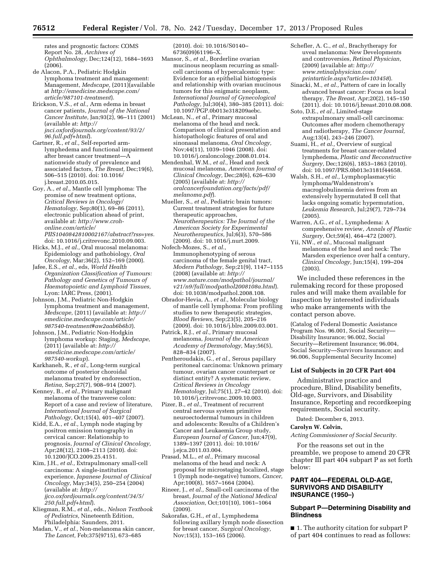rates and prognostic factors: COMS Report No. 28, *Archives of Ophthalmology,* Dec;124(12), 1684–1693 (2006).

- de Alacon, P.A., Pediatric Hodgkin lymphoma treatment and management: Management, *Medscape,* (2011)(available at *[http://emedicine.medscape.com/](http://emedicine.medscape.com/article/987101-treatment) [article/987101-treatment](http://emedicine.medscape.com/article/987101-treatment)*).
- Erickson, V.S., *et al.,* Arm edema in breast cancer patients, *Journal of the National Cancer Institute,* Jan;93(2), 96–111 (2001) (available at: *[http://](http://jnci.oxfordjournals.org/content/93/2/96.full.pdf+html) [jnci.oxfordjournals.org/content/93/2/](http://jnci.oxfordjournals.org/content/93/2/96.full.pdf+html) [96.full.pdf+html](http://jnci.oxfordjournals.org/content/93/2/96.full.pdf+html)*).

Gartner, R., *et al.,* Self-reported armlymphedema and functional impairment after breast cancer treatment—A nationwide study of prevalence and associated factors, *The Breast,* Dec;19(6), 506–515 (2010). doi: 10.1016/ j.breast.2010.05.015.

Goy, A., *et al.,* Mantle cell lymphoma: The promise of new treatment options, *Critical Reviews in Oncology/ Hematology,* Sep;80(1), 69–86 (2011), electronic publication ahead of print, available at: *[http://www.croh](http://www.croh-online.com/article/PIIS1040842810002167/abstract?rss=yes)[online.com/article/](http://www.croh-online.com/article/PIIS1040842810002167/abstract?rss=yes) [PIIS1040842810002167/abstract?rss=yes.](http://www.croh-online.com/article/PIIS1040842810002167/abstract?rss=yes)* 

doi: 10.1016/j.critrevonc.2010.09.003. Hicks, M.J., *et al.,* Oral mucosal melanoma: Epidemiology and pathobiology, *Oral* 

- *Oncology,* Mar;36(2), 152–169 (2000). Jafee, E.S., *et al.,* eds, *World Health Organization Classification of Tumours: Pathology and Genetics of Tumours of Haematopoietic and Lymphoid Tissues,*  Lyon: IARC Press, (2001).
- Johnson, J.M., Pediatric Non-Hodgkin lymphoma treatment and management, *Medscape,* (2011) (available at: *[http://](http://emedicine.medscape.com/article/987540-treatment#aw2aab6b6b3) [emedicine.medscape.com/article/](http://emedicine.medscape.com/article/987540-treatment#aw2aab6b6b3) [987540-treatment#aw2aab6b6b3](http://emedicine.medscape.com/article/987540-treatment#aw2aab6b6b3)*).

Johnson, J.M., Pediatric Non-Hodgkin lymphoma workup: Staging, *Medscape,*  (2011) (available at: *[http://](http://emedicine.medscape.com/article/987540-workup) [emedicine.medscape.com/article/](http://emedicine.medscape.com/article/987540-workup) [987540-workup](http://emedicine.medscape.com/article/987540-workup)*).

Karkhaneh, R., *et al.,* Long-term surgical outcome of posterior choroidal melanoma treated by endoresection, *Retina,* Sep;27(7), 908–914 (2007).

Kenney, B., *et al.,* Primary malignant melanoma of the transverse colon: Report of a case and review of literature, *International Journal of Surgical Pathology,* Oct;15(4), 401–407 (2007).

- Kidd, E.A., *et al.,* Lymph node staging by positron emission tomography in cervical cancer: Relationship to prognosis, *Journal of Clinical Oncology,*  Apr;28(12), 2108–2113 (2010). doi: 10.1200/JCO.2009.25.4151.
- Kim, J.H., *et al.,* Extrapulmonary small-cell carcinoma: A single-institution experience, *Japanese Journal of Clinical Oncology,* May;34(5), 250–254 (2004) (available at: *[http://](http://jjco.oxfordjournals.org/content/34/5/250.full.pdf+html) [jjco.oxfordjournals.org/content/34/5/](http://jjco.oxfordjournals.org/content/34/5/250.full.pdf+html) [250.full.pdf+html](http://jjco.oxfordjournals.org/content/34/5/250.full.pdf+html)*).

Kliegman, R.M., *et al.,* eds., *Nelson Textbook of Pediatrics,* Nineteenth Edition, Philadelphia: Saunders, 2011.

Madan, V., *et al.,* Non-melanoma skin cancer, *The Lancet,* Feb;375(9715), 673–685

(2010). doi: 10.1016/S0140– 6736(09)61196–X.

- Mansor, S., *et al.,* Borderline ovarian mucinous neoplasm recurring as smallcell carcinoma of hypercalcemic type: Evidence for an epithelial histogenesis and relationship with ovarian mucinous tumors for this enigmatic neoplasm, *International Journal of Gynecological Pathology,* Jul;30(4), 380–385 (2011). doi: 10.1097/PGP.0b013e318209aebc.
- McLean, N., *et al.,* Primary mucosal melanoma of the head and neck. Comparison of clinical presentation and histopathologic features of oral and sinonasal melanoma, *Oral Oncology,*  Nov;44(11), 1039–1046 (2008). doi: 10.1016/j.oraloncology.2008.01.014.
- Mendenhal, W.M., *et al.,* Head and neck mucosal melanoma, *American Journal of Clinical Oncology,* Dec;28(6), 626–630 (2005) (available at: *[http://](http://oralcancerfoundation.org/facts/pdf/melanoma.pdf) [oralcancerfoundation.org/facts/pdf/](http://oralcancerfoundation.org/facts/pdf/melanoma.pdf) [melanoma.pdf](http://oralcancerfoundation.org/facts/pdf/melanoma.pdf)*).
- Mueller, S., *et al.,* Pediatric brain tumors: Current treatment strategies for future therapeutic approaches, *Neurotherapeutics: The Journal of the American Society for Experimental Neurotherapeutics,* Jul;6(3), 570–586 (2009). doi: 10.1016/j.nurt.2009.
- Nofech-Mozes, S., *et al.,*  Immunophenotyping of serous carcinoma of the female genital tract, *Modern Pathology,* Sep;21(9), 1147–1155 (2008) (available at: *[http://](http://www.nature.com/modpathol/journal/v21/n9/full/modpathol2008108a.html) [www.nature.com/modpathol/journal/](http://www.nature.com/modpathol/journal/v21/n9/full/modpathol2008108a.html) [v21/n9/full/modpathol2008108a.html](http://www.nature.com/modpathol/journal/v21/n9/full/modpathol2008108a.html)*). doi: 10.1038/modpathol.2008.108.
- Obrador-Hevia, A., *et al.,* Molecular biology of mantle cell lymphoma: From profiling studies to new therapeutic strategies, *Blood Reviews,* Sep;23(5), 205–216 (2009). doi: 10.1016/j.blre.2009.03.001.
- Patrick, R.J., *et al.,* Primary mucosal melanoma, *Journal of the American Academy of Dermatology,* May;56(5), 828–834 (2007).
- Pentheroudakis, G., *et al.,* Serous papillary peritoneal carcinoma: Unknown primary tumour, ovarian cancer counterpart or distinct entity? A systematic review, *Critical Reviews in Oncology Hematology,* Jul;75(1), 27–42 (2010). doi: 10.1016/j.critrevonc.2009.10.003.
- Pizer, B., *et al.,* Treatment of recurrent central nervous system primitive neuroectodermal tumours in children and adolescents: Results of a Children's Cancer and Leukaemia Group study, *European Journal of Cancer,* Jun;47(9), 1389–1397 (2011). doi: 10.1016/ j.ejca.2011.03.004.
- Prasad, M.L., *et al.,* Primary mucosal melanoma of the head and neck: A proposal for microstaging localized, stage 1 (lymph node-negative) tumors, *Cancer,*  Apr;100(8), 1657–1664 (2004).
- Rineer, J., *et al.,* Small-cell carcinoma of the breast, *Journal of the National Medical Association,* Oct;101(10), 1061–1064 (2009).
- Sakorafas, G.H., *et al.,* Lymphedema following axillary lymph node dissection for breast cancer, *Surgical Oncology,*  Nov;15(3), 153–165 (2006).
- Schefler, A. C., *et al.,* Brachytherapy for uveal melanoma: New Developments and controversies, *Retinal Physician,*  (2009) (available at: *[http://](http://www.retinalphysician.com/printarticle.aspx?article=103458) [www.retinalphysician.com/](http://www.retinalphysician.com/printarticle.aspx?article=103458) [printarticle.aspx?article=103458](http://www.retinalphysician.com/printarticle.aspx?article=103458)*).
- Sinacki, M., *et al.,* Pattern of care in locally advanced breast cancer: Focus on local therapy, *The Breast,* Apr;20(2), 145–150 (2011). doi: 10.1016/j.breast.2010.08.008.
- Soto, D.E., *et al.,* Limited-stage extrapulmonary small-cell carcinoma: Outcomes after modern chemotherapy and radiotherapy, *The Cancer Journal,*  Aug;13(4), 243–246 (2007).
- Suami, H., *et al.,* Overview of surgical treatments for breast cancer-related lymphedema, *Plastic and Reconstructive Surgery,* Dec;126(6), 1853–1863 (2010). doi: 10.1097/PRS.0b013e3181f44658.
- Walsh, S.H., *et al.,* Lymphoplasmacytic lymphoma/Waldenstrom's macroglobulinemia derives from an extensively hypermutated B cell that lacks ongoing somatic hypermutation, *Leukemia Research,* Jul;29(7), 729–734 (2005).
- Warren, A.G., *et al.,* Lymphedema: A comprehensive review, *Annals of Plastic Surgery,* Oct;59(4), 464–472 (2007).
- Yii, NW., *et al.,* Mucosal malignant melanoma of the head and neck: The Marsden experience over half a century, *Clinical Oncology,* Jun;15(4), 199–204 (2003).

We included these references in the rulemaking record for these proposed rules and will make them available for inspection by interested individuals who make arrangements with the contact person above.

(Catalog of Federal Domestic Assistance Program Nos. 96.001, Social Security— Disability Insurance; 96.002, Social Security—Retirement Insurance; 96.004, Social Security—Survivors Insurance; and 96.006, Supplemental Security Income)

# **List of Subjects in 20 CFR Part 404**

Administrative practice and procedure, Blind, Disability benefits, Old-age, Survivors, and Disability Insurance, Reporting and recordkeeping requirements, Social security.

Dated: December 6, 2013.

**Carolyn W. Colvin,** 

*Acting Commissioner of Social Security.* 

For the reasons set out in the preamble, we propose to amend 20 CFR chapter III part 404 subpart P as set forth below:

# **PART 404—FEDERAL OLD-AGE, SURVIVORS AND DISABILITY INSURANCE (1950–)**

# **Subpart P—Determining Disability and Blindness**

■ 1. The authority citation for subpart P of part 404 continues to read as follows: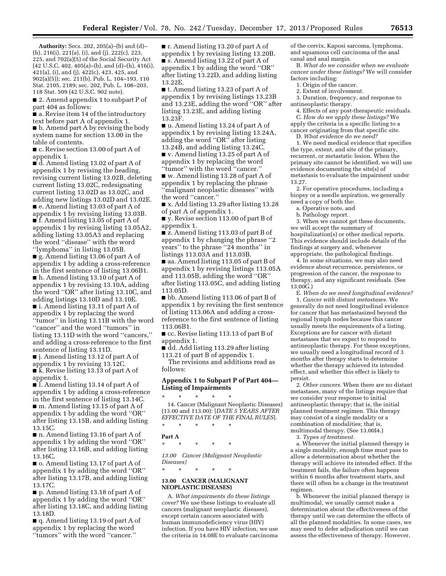**Authority:** Secs. 202, 205(a)–(b) and (d)– (h), 216(i), 221(a), (i), and (j), 222(c), 223, 225, and 702(a)(5) of the Social Security Act (42 U.S.C. 402, 405(a)–(b), and (d)–(h), 416(i), 421(a), (i), and (j), 422(c), 423, 425, and 902(a)(5)); sec. 211(b), Pub. L. 104–193, 110 Stat. 2105, 2189; sec. 202, Pub. L. 108–203, 118 Stat. 509 (42 U.S.C. 902 note).

■ 2. Amend appendix 1 to subpart P of part 404 as follows:

■ a. Revise item 14 of the introductory text before part A of appendix 1.

■ b. Amend part A by revising the body system name for section 13.00 in the table of contents.

■ c. Revise section 13.00 of part A of appendix 1.

 $\vec{a}$ . Amend listing 13.02 of part A of appendix 1 by revising the heading, revising current listing 13.02B, deleting current listing 13.02C, redesignating current listing 13.02D as 13.02C, and adding new listings 13.02D and 13.02E. ■ e. Amend listing 13.03 of part A of appendix 1 by revising listing 13.03B.

■ f. Amend listing 13.05 of part A of appendix 1 by revising listing 13.05A2, adding listing 13.05A3 and replacing the word ''disease'' with the word ''lymphoma'' in listing 13.05B.

■ g. Amend listing 13.06 of part A of appendix 1 by adding a cross-reference in the first sentence of listing 13.06B1. ■ h. Amend listing 13.10 of part A of appendix 1 by revising 13.10A, adding the word ''OR'' after listing 13.10C, and adding listings 13.10D and 13.10E. ■ i. Amend listing 13.11 of part A of appendix 1 by replacing the word ''tumor'' in listing 13.11B with the word ''cancer'' and the word ''tumors'' in listing 13.11D with the word ''cancers,'' and adding a cross-reference to the first sentence of listing 13.11D.

■ j. Amend listing 13.12 of part A of appendix 1 by revising 13.12C.

■ k. Revise listing 13.13 of part A of appendix 1.

■ l. Amend listing 13.14 of part A of appendix 1 by adding a cross-reference in the first sentence of listing 13.14C.

■ m. Amend listing 13.15 of part A of appendix 1 by adding the word ''OR'' after listing 13.15B, and adding listing 13.15C.

■ n. Amend listing 13.16 of part A of appendix 1 by adding the word ''OR'' after listing 13.16B, and adding listing 13.16C.

■ o. Amend listing 13.17 of part A of appendix 1 by adding the word ''OR'' after listing 13.17B, and adding listing 13.17C.

■ p. Amend listing 13.18 of part A of appendix 1 by adding the word ''OR'' after listing 13.18C, and adding listing 13.18D.

■ q. Amend listing 13.19 of part A of appendix 1 by replacing the word ''tumors'' with the word ''cancer.''

■ **r.** Amend listing 13.20 of part A of appendix 1 by revising listing 13.20B. ■ s. Amend listing 13.22 of part A of appendix 1 by adding the word ''OR'' after listing 13.22D, and adding listing 13.22E.

■ t. Amend listing 13.23 of part A of appendix 1 by revising listings 13.23B and 13.23E, adding the word ''OR'' after listing 13.23E, and adding listing 13.23F.

■ u. Amend listing 13.24 of part A of appendix 1 by revising listing 13.24A, adding the word "OR" after listing 13.24B, and adding listing 13.24C.

■ v. Amend listing 13.25 of part A of appendix 1 by replacing the word ''tumor'' with the word ''cancer.''

■ w. Amend listing 13.28 of part A of appendix 1 by replacing the phrase ''malignant neoplastic diseases'' with the word ''cancer.''

■ x. Add listing 13.29 after listing 13.28 of part A of appendix 1.

■ y. Revise section 113.00 of part B of appendix 1.

■ z. Amend listing 113.03 of part B of appendix 1 by changing the phrase ''2 years'' to the phrase ''24 months'' in listings 113.03A and 113.03B.

■ aa. Amend listing 113.05 of part B of appendix 1 by revising listings 113.05A and 113.05B, adding the word ''OR'' after listing 113.05C, and adding listing 113.05D.

■ bb. Amend listing 113.06 of part B of appendix 1 by revising the first sentence of listing 113.06A and adding a crossreference to the first sentence of listing 113.06B1.

■ cc. Revise listing 113.13 of part B of appendix 1.

■ dd. Add listing 113.29 after listing 113.21 of part B of appendix 1.

The revisions and additions read as follows:

# **Appendix 1 to Subpart P of Part 404— Listing of Impairments**

\* \* \* \* \*

14. Cancer (Malignant Neoplastic Diseases) (13.00 and 113.00): [*DATE 5 YEARS AFTER EFFECTIVE DATE OF THE FINAL RULES*]. \* \* \* \* \*

**Part A** 

\* \* \* \* \*

*13.00 Cancer (Malignant Neoplastic Diseases)* 

#### **13.00 CANCER (MALIGNANT NEOPLASTIC DISEASES)**

\* \* \* \* \*

A. *What impairments do these listings cover?* We use these listings to evaluate all cancers (malignant neoplastic diseases), except certain cancers associated with human immunodeficiency virus (HIV) infection. If you have HIV infection, we use the criteria in 14.08E to evaluate carcinoma

of the cervix, Kaposi sarcoma, lymphoma, and squamous cell carcinoma of the anal canal and anal margin.

B. *What do we consider when we evaluate cancer under these listings?* We will consider factors including:

1. Origin of the cancer.

2. Extent of involvement.

3. Duration, frequency, and response to antineoplastic therapy.

4. Effects of any post-therapeutic residuals. C. *How do we apply these listings?* We apply the criteria in a specific listing to a cancer originating from that specific site.

D. *What evidence do we need?* 

1. We need medical evidence that specifies the type, extent, and site of the primary, recurrent, or metastatic lesion. When the primary site cannot be identified, we will use evidence documenting the site(s) of metastasis to evaluate the impairment under 13.27.

2. For operative procedures, including a biopsy or a needle aspiration, we generally need a copy of both the:

a. Operative note, and

b. Pathology report.

3. When we cannot get these documents, we will accept the summary of hospitalization(s) or other medical reports. This evidence should include details of the findings at surgery and, whenever appropriate, the pathological findings.

4. In some situations, we may also need evidence about recurrence, persistence, or progression of the cancer, the response to therapy, and any significant residuals. (See 13.00G.)

E. *When do we need longitudinal evidence?*  1. *Cancer with distant metastases.* We generally do not need longitudinal evidence for cancer that has metastasized beyond the regional lymph nodes because this cancer usually meets the requirements of a listing. Exceptions are for cancer with distant metastases that we expect to respond to antineoplastic therapy. For these exceptions, we usually need a longitudinal record of 3 months after therapy starts to determine whether the therapy achieved its intended effect, and whether this effect is likely to persist.

2. *Other cancers.* When there are no distant metastases, many of the listings require that we consider your response to initial antineoplastic therapy; that is, the initial planned treatment regimen. This therapy may consist of a single modality or a combination of modalities; that is, multimodal therapy. (See 13.00I4.)

3. *Types of treatment.* 

a. Whenever the initial planned therapy is a single modality, enough time must pass to allow a determination about whether the therapy will achieve its intended effect. If the treatment fails, the failure often happens within 6 months after treatment starts, and there will often be a change in the treatment regimen.

b. Whenever the initial planned therapy is multimodal, we usually cannot make a determination about the effectiveness of the therapy until we can determine the effects of all the planned modalities. In some cases, we may need to defer adjudication until we can assess the effectiveness of therapy. However,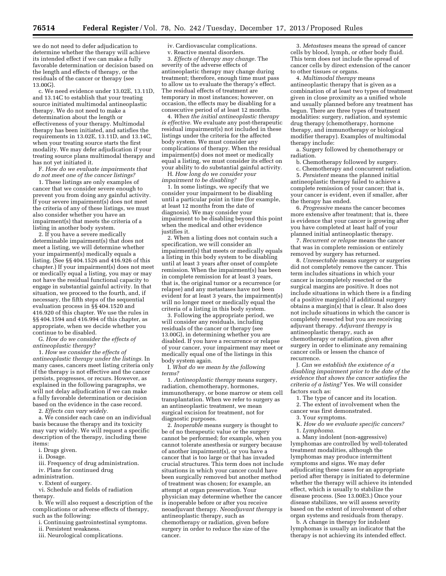we do not need to defer adjudication to determine whether the therapy will achieve its intended effect if we can make a fully favorable determination or decision based on the length and effects of therapy, or the residuals of the cancer or therapy (see 13.00G).

c. We need evidence under 13.02E, 13.11D, and 13.14C to establish that your treating source initiated multimodal antineoplastic therapy. We do not need to make a determination about the length or effectiveness of your therapy. Multimodal therapy has been initiated, and satisfies the requirements in 13.02E, 13.11D, and 13.14C, when your treating source starts the first modality. We may defer adjudication if your treating source plans multimodal therapy and has not yet initiated it.

F. *How do we evaluate impairments that do not meet one of the cancer listings?* 

1. These listings are only examples of cancer that we consider severe enough to prevent you from doing any gainful activity. If your severe impairment(s) does not meet the criteria of any of these listings, we must also consider whether you have an impairment(s) that meets the criteria of a listing in another body system.

2. If you have a severe medically determinable impairment(s) that does not meet a listing, we will determine whether your impairment(s) medically equals a listing. (See §§ 404.1526 and 416.926 of this chapter.) If your impairment(s) does not meet or medically equal a listing, you may or may not have the residual functional capacity to engage in substantial gainful activity. In that situation, we proceed to the fourth, and, if necessary, the fifth steps of the sequential evaluation process in §§ 404.1520 and 416.920 of this chapter. We use the rules in §§ 404.1594 and 416.994 of this chapter, as appropriate, when we decide whether you continue to be disabled.

G. *How do we consider the effects of antineoplastic therapy?* 

1. *How we consider the effects of antineoplastic therapy under the listings.* In many cases, cancers meet listing criteria only if the therapy is not effective and the cancer persists, progresses, or recurs. However, as explained in the following paragraphs, we will not delay adjudication if we can make a fully favorable determination or decision based on the evidence in the case record.

2. *Effects can vary widely.* 

a. We consider each case on an individual basis because the therapy and its toxicity may vary widely. We will request a specific description of the therapy, including these items:

- i. Drugs given.
- ii. Dosage.

iii. Frequency of drug administration. iv. Plans for continued drug

administration.

v. Extent of surgery.

vi. Schedule and fields of radiation therapy.

b. We will also request a description of the complications or adverse effects of therapy, such as the following:

i. Continuing gastrointestinal symptoms.

- ii. Persistent weakness.
- iii. Neurological complications.

iv. Cardiovascular complications.

v. Reactive mental disorders. 3. *Effects of therapy may change.* The severity of the adverse effects of antineoplastic therapy may change during treatment; therefore, enough time must pass to allow us to evaluate the therapy's effect. The residual effects of treatment are temporary in most instances; however, on occasion, the effects may be disabling for a consecutive period of at least 12 months.

4. *When the initial antineoplastic therapy is effective.* We evaluate any post-therapeutic residual impairment(s) not included in these listings under the criteria for the affected body system. We must consider any complications of therapy. When the residual impairment(s) does not meet or medically equal a listing, we must consider its effect on your ability to do substantial gainful activity.

H. *How long do we consider your impairment to be disabling?* 

1. In some listings, we specify that we consider your impairment to be disabling until a particular point in time (for example, at least 12 months from the date of diagnosis). We may consider your impairment to be disabling beyond this point when the medical and other evidence justifies it.

2. When a listing does not contain such a specification, we will consider an impairment(s) that meets or medically equals a listing in this body system to be disabling until at least 3 years after onset of complete remission. When the impairment(s) has been in complete remission for at least 3 years, that is, the original tumor or a recurrence (or relapse) and any metastases have not been evident for at least 3 years, the impairment(s) will no longer meet or medically equal the criteria of a listing in this body system.

3. Following the appropriate period, we will consider any residuals, including residuals of the cancer or therapy (see 13.00G), in determining whether you are disabled. If you have a recurrence or relapse of your cancer, your impairment may meet or medically equal one of the listings in this body system again.

I. *What do we mean by the following terms?* 

1. *Antineoplastic therapy* means surgery, radiation, chemotherapy, hormones, immunotherapy, or bone marrow or stem cell transplantation. When we refer to surgery as an antineoplastic treatment, we mean surgical excision for treatment, not for diagnostic purposes.

2. *Inoperable* means surgery is thought to be of no therapeutic value or the surgery cannot be performed; for example, when you cannot tolerate anesthesia or surgery because of another impairment(s), or you have a cancer that is too large or that has invaded crucial structures. This term does not include situations in which your cancer could have been surgically removed but another method of treatment was chosen; for example, an attempt at organ preservation. Your physician may determine whether the cancer is inoperable before or after you receive neoadjuvant therapy. *Neoadjuvant therapy* is antineoplastic therapy, such as chemotherapy or radiation, given before surgery in order to reduce the size of the cancer.

3. *Metastases* means the spread of cancer cells by blood, lymph, or other body fluid. This term does not include the spread of cancer cells by direct extension of the cancer to other tissues or organs.

4. *Multimodal therapy* means antineoplastic therapy that is given as a combination of at least two types of treatment given in close proximity as a unified whole and usually planned before any treatment has begun. There are three types of treatment modalities: surgery, radiation, and systemic drug therapy (chemotherapy, hormone therapy, and immunotherapy or biological modifier therapy). Examples of multimodal therapy include:

a. Surgery followed by chemotherapy or radiation.

b. Chemotherapy followed by surgery.

c. Chemotherapy and concurrent radiation. 5. *Persistent* means the planned initial antineoplastic therapy failed to achieve a complete remission of your cancer; that is, your cancer is evident, even if smaller, after the therapy has ended.

6. *Progressive* means the cancer becomes more extensive after treatment; that is, there is evidence that your cancer is growing after you have completed at least half of your planned initial antineoplastic therapy.

7. *Recurrent or relapse* means the cancer that was in complete remission or entirely removed by surgery has returned.

8. *Unresectable* means surgery or surgeries did not completely remove the cancer. This term includes situations in which your cancer is incompletely resected or the surgical margins are positive. It does not include situations in which there is a finding of a positive margin(s) if additional surgery obtains a margin(s) that is clear. It also does not include situations in which the cancer is completely resected but you are receiving adjuvant therapy. *Adjuvant therapy* is antineoplastic therapy, such as chemotherapy or radiation, given after surgery in order to eliminate any remaining cancer cells or lessen the chance of recurrence.

J. *Can we establish the existence of a disabling impairment prior to the date of the evidence that shows the cancer satisfies the criteria of a listing?* Yes. We will consider factors such as:

1. The type of cancer and its location.

2. The extent of involvement when the cancer was first demonstrated.

3. Your symptoms.

K. *How do we evaluate specific cancers?* 

1. *Lymphoma.* 

a. Many indolent (non-aggressive) lymphomas are controlled by well-tolerated treatment modalities, although the lymphomas may produce intermittent symptoms and signs. We may defer adjudicating these cases for an appropriate period after therapy is initiated to determine whether the therapy will achieve its intended effect, which is usually to stabilize the disease process. (See 13.00E3.) Once your disease stabilizes, we will assess severity based on the extent of involvement of other organ systems and residuals from therapy.

b. A change in therapy for indolent lymphomas is usually an indicator that the therapy is not achieving its intended effect.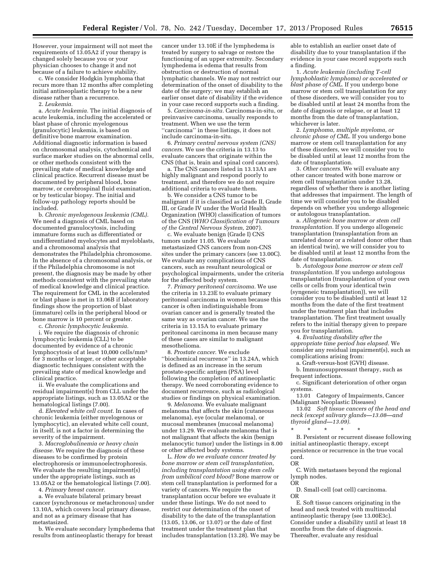However, your impairment will not meet the requirements of 13.05A2 if your therapy is changed solely because you or your physician chooses to change it and not because of a failure to achieve stability.

c. We consider Hodgkin lymphoma that recurs more than 12 months after completing initial antineoplastic therapy to be a new disease rather than a recurrence.

2. *Leukemia.* 

a. *Acute leukemia.* The initial diagnosis of acute leukemia, including the accelerated or blast phase of chronic myelogenous (granulocytic) leukemia, is based on definitive bone marrow examination. Additional diagnostic information is based on chromosomal analysis, cytochemical and surface marker studies on the abnormal cells, or other methods consistent with the prevailing state of medical knowledge and clinical practice. Recurrent disease must be documented by peripheral blood, bone marrow, or cerebrospinal fluid examination, or by testicular biopsy. The initial and follow-up pathology reports should be included.

b. *Chronic myelogenous leukemia (CML).*  We need a diagnosis of CML based on documented granulocytosis, including immature forms such as differentiated or undifferentiated myelocytes and myeloblasts, and a chromosomal analysis that demonstrates the Philadelphia chromosome. In the absence of a chromosomal analysis, or if the Philadelphia chromosome is not present, the diagnosis may be made by other methods consistent with the prevailing state of medical knowledge and clinical practice. The requirement for CML in the accelerated or blast phase is met in 13.06B if laboratory findings show the proportion of blast (immature) cells in the peripheral blood or bone marrow is 10 percent or greater.

c. *Chronic lymphocytic leukemia.* 

i. We require the diagnosis of chronic lymphocytic leukemia (CLL) to be documented by evidence of a chronic lymphocytosis of at least 10,000 cells/mm3 for 3 months or longer, or other acceptable diagnostic techniques consistent with the prevailing state of medical knowledge and clinical practice.

ii. We evaluate the complications and residual impairment(s) from CLL under the appropriate listings, such as 13.05A2 or the hematological listings (7.00).

d. *Elevated white cell count.* In cases of chronic leukemia (either myelogenous or lymphocytic), an elevated white cell count, in itself, is not a factor in determining the severity of the impairment.

3. *Macroglobulinemia or heavy chain disease.* We require the diagnosis of these diseases to be confirmed by protein electrophoresis or immunoelectrophoresis. We evaluate the resulting impairment(s) under the appropriate listings, such as 13.05A2 or the hematological listings (7.00).

4. *Primary breast cancer.* 

a. We evaluate bilateral primary breast cancer (synchronous or metachronous) under 13.10A, which covers local primary disease, and not as a primary disease that has metastasized.

b. We evaluate secondary lymphedema that results from antineoplastic therapy for breast

cancer under 13.10E if the lymphedema is treated by surgery to salvage or restore the functioning of an upper extremity. Secondary lymphedema is edema that results from obstruction or destruction of normal lymphatic channels. We may not restrict our determination of the onset of disability to the date of the surgery; we may establish an earlier onset date of disability if the evidence in your case record supports such a finding.

5. *Carcinoma-in-situ.* Carcinoma-in-situ, or preinvasive carcinoma, usually responds to treatment. When we use the term ''carcinoma'' in these listings, it does not include carcinoma-in-situ.

6. *Primary central nervous system (CNS) cancers.* We use the criteria in 13.13 to evaluate cancers that originate within the CNS (that is, brain and spinal cord cancers).

a. The CNS cancers listed in 13.13A1 are highly malignant and respond poorly to treatment, and therefore we do not require additional criteria to evaluate them.

b. We consider a CNS tumor to be malignant if it is classified as Grade II, Grade III, or Grade IV under the World Health Organization (WHO) classification of tumors of the CNS (*WHO Classification of Tumours of the Central Nervous System,* 2007).

c. We evaluate benign (Grade I) CNS tumors under 11.05. We evaluate metastasized CNS cancers from non-CNS sites under the primary cancers (see 13.00C). We evaluate any complications of CNS cancers, such as resultant neurological or psychological impairments, under the criteria for the affected body system.

7. *Primary peritoneal carcinoma.* We use the criteria in 13.23E to evaluate primary peritoneal carcinoma in women because this cancer is often indistinguishable from ovarian cancer and is generally treated the same way as ovarian cancer. We use the criteria in 13.15A to evaluate primary peritoneal carcinoma in men because many of these cases are similar to malignant mesothelioma.

8. *Prostate cancer.* We exclude ''biochemical recurrence'' in 13.24A, which is defined as an increase in the serum prostate-specific antigen (PSA) level following the completion of antineoplastic therapy. We need corroborating evidence to document recurrence, such as radiological studies or findings on physical examination.

9. *Melanoma.* We evaluate malignant melanoma that affects the skin (cutaneous melanoma), eye (ocular melanoma), or mucosal membranes (mucosal melanoma) under 13.29. We evaluate melanoma that is not malignant that affects the skin (benign melanocytic tumor) under the listings in 8.00 or other affected body systems.

L. *How do we evaluate cancer treated by bone marrow or stem cell transplantation, including transplantation using stem cells from umbilical cord blood?* Bone marrow or stem cell transplantation is performed for a variety of cancers. We require the transplantation occur before we evaluate it under these listings. We do not need to restrict our determination of the onset of disability to the date of the transplantation (13.05, 13.06, or 13.07) or the date of first treatment under the treatment plan that includes transplantation  $(13.28)$ . We may be able to establish an earlier onset date of disability due to your transplantation if the evidence in your case record supports such a finding.

1. *Acute leukemia (including T-cell lymphoblastic lymphoma) or accelerated or blast phase of CML.* If you undergo bone marrow or stem cell transplantation for any of these disorders, we will consider you to be disabled until at least 24 months from the date of diagnosis or relapse, or at least 12 months from the date of transplantation, whichever is later.

2. *Lymphoma, multiple myeloma, or chronic phase of CML.* If you undergo bone marrow or stem cell transplantation for any of these disorders, we will consider you to be disabled until at least 12 months from the date of transplantation.

3. *Other cancers.* We will evaluate any other cancer treated with bone marrow or stem cell transplantation under 13.28, regardless of whether there is another listing that addresses that impairment. The length of time we will consider you to be disabled depends on whether you undergo allogeneic or autologous transplantation.

a. *Allogeneic bone marrow or stem cell transplantation.* If you undergo allogeneic transplantation (transplantation from an unrelated donor or a related donor other than an identical twin), we will consider you to be disabled until at least 12 months from the date of transplantation.

b. *Autologous bone marrow or stem cell transplantation.* If you undergo autologous transplantation (transplantation of your own cells or cells from your identical twin (syngeneic transplantation)), we will consider you to be disabled until at least 12 months from the date of the first treatment under the treatment plan that includes transplantation. The first treatment usually refers to the initial therapy given to prepare you for transplantation.

4. *Evaluating disability after the appropriate time period has elapsed.* We consider any residual impairment(s), such as complications arising from:

a. Graft-versus-host (GVH) disease.

b. Immunosuppressant therapy, such as frequent infections.

c. Significant deterioration of other organ systems.

13.01 Category of Impairments, Cancer (Malignant Neoplastic Diseases)

13.02 *Soft tissue cancers of the head and neck (except salivary glands—13.08—and thyroid gland—13.09).* 

\* \* \* \* \* B. Persistent or recurrent disease following initial antineoplastic therapy, except persistence or recurrence in the true vocal cord. OR

C. With metastases beyond the regional lymph nodes.

OR

D. Small-cell (oat cell) carcinoma. OR

E. Soft tissue cancers originating in the head and neck treated with multimodal antineoplastic therapy (see 13.00E3c). Consider under a disability until at least 18 months from the date of diagnosis. Thereafter, evaluate any residual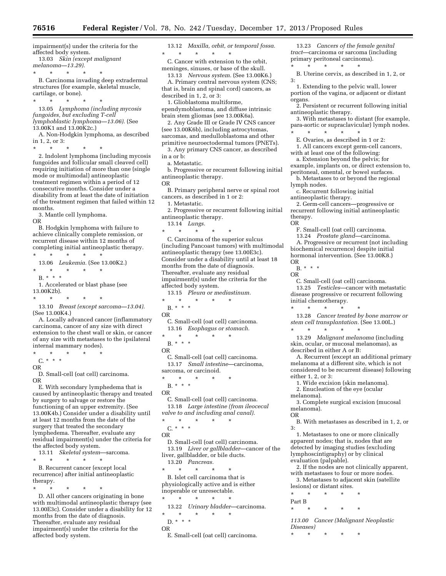impairment(s) under the criteria for the affected body system. 13.03 *Skin (except malignant* 

*melanoma—13.29).* 

\* \* \* \* \*

B. Carcinoma invading deep extradermal structures (for example, skeletal muscle, cartilage, or bone).

\* \* \* \* \* 13.05 *Lymphoma (including mycosis* 

*fungoides, but excluding T-cell lymphoblastic lymphoma—13.06).* (See 13.00K1 and 13.00K2c.)

A. Non-Hodgkin lymphoma, as described in 1, 2, or 3:

\* \* \* \* \*

2. Indolent lymphoma (including mycosis fungoides and follicular small cleaved cell) requiring initiation of more than one (single mode or multimodal) antineoplastic treatment regimen within a period of 12 consecutive months. Consider under a disability from at least the date of initiation of the treatment regimen that failed within 12 months.

3. Mantle cell lymphoma.

OR

B. Hodgkin lymphoma with failure to achieve clinically complete remission, or recurrent disease within 12 months of completing initial antineoplastic therapy. \* \* \* \* \*

13.06 *Leukemia.* (See 13.00K2.) \* \* \* \* \*  $B. * * * *$ 1. Accelerated or blast phase (see 13.00K2b).

\* \* \* \* \*

13.10 *Breast (except sarcoma—13.04).*  (See 13.00K4.)

A. Locally advanced cancer (inflammatory carcinoma, cancer of any size with direct extension to the chest wall or skin, or cancer of any size with metastases to the ipsilateral internal mammary nodes).

\* \* \* \* \*

 $C. * * * *$ 

OR

D. Small-cell (oat cell) carcinoma. OR

E. With secondary lymphedema that is caused by antineoplastic therapy and treated by surgery to salvage or restore the functioning of an upper extremity. (See 13.00K4b.) Consider under a disability until at least 12 months from the date of the surgery that treated the secondary lymphedema. Thereafter, evaluate any residual impairment(s) under the criteria for the affected body system.

13.11 *Skeletal system*—sarcoma.

\* \* \* \* \*

B. Recurrent cancer (except local recurrence) after initial antineoplastic therapy.

\* \* \* \* \*

D. All other cancers originating in bone with multimodal antineoplastic therapy (see 13.00E3c). Consider under a disability for 12 months from the date of diagnosis. Thereafter, evaluate any residual impairment(s) under the criteria for the affected body system.

13.12 *Maxilla, orbit, or temporal fossa.*  \* \* \* \* \*

C. Cancer with extension to the orbit, meninges, sinuses, or base of the skull.

13.13 *Nervous system.* (See 13.00K6.)

A. Primary central nervous system (CNS; that is, brain and spinal cord) cancers, as described in 1, 2, or 3:

1. Glioblastoma multiforme,

ependymoblastoma, and diffuse intrinsic brain stem gliomas (see 13.00K6a).

2. Any Grade III or Grade IV CNS cancer (see 13.00K6b), including astrocytomas, sarcomas, and medulloblastoma and other primitive neuroectodermal tumors (PNETs). 3. Any primary CNS cancer, as described

in a or b: a. Metastatic.

b. Progressive or recurrent following initial antineoplastic therapy.

OR B. Primary peripheral nerve or spinal root cancers, as described in 1 or 2:

1. Metastatic.

2. Progressive or recurrent following initial antineoplastic therapy.

13.14 *Lungs.* 

\* \* \* \* \* C. Carcinoma of the superior sulcus (including Pancoast tumors) with multimodal antineoplastic therapy (see 13.00E3c). Consider under a disability until at least 18 months from the date of diagnosis. Thereafter, evaluate any residual impairment(s) under the criteria for the affected body system.

13.15 *Pleura or mediastinum.* 

- \* \* \* \* \*
- B. \* \* \* OR
- 

C. Small-cell (oat cell) carcinoma. 13.16 *Esophagus or stomach.* 

- \* \* \* \* \*
- $B. * * * *$
- OR

C. Small-cell (oat cell) carcinoma. 13.17 *Small intestine*—carcinoma, sarcoma, or carcinoid. \* \* \* \* \*

B. \* \* \*

OR

C. Small-cell (oat cell) carcinoma. 13.18 *Large intestine (from ileocecal valve to and including anal canal).* 

\* \* \* \* \* C. \* \* \*

OR

D. Small-cell (oat cell) carcinoma. 13.19 *Liver or gallbladder*—cancer of the liver, gallbladder, or bile ducts. 13.20 *Pancreas.* 

\* \* \* \* \*

B. Islet cell carcinoma that is physiologically active and is either inoperable or unresectable. \* \* \* \* \*

13.22 *Urinary bladder*—carcinoma.

- \* \* \* \* \*
- D. \* \* \* OR

E. Small-cell (oat cell) carcinoma.

13.23 *Cancers of the female genital tract*—carcinoma or sarcoma (including primary peritoneal carcinoma). \* \* \* \* \*

B. Uterine cervix, as described in 1, 2, or 3:

1. Extending to the pelvic wall, lower portion of the vagina, or adjacent or distant organs.

2. Persistent or recurrent following initial antineoplastic therapy.

3. With metastases to distant (for example, para-aortic or supraclavicular) lymph nodes. \* \* \* \* \*

E. Ovaries, as described in 1 or 2:

1. All cancers except germ-cell cancers, with at least one of the following:

a. Extension beyond the pelvis; for example, implants on, or direct extension to, peritoneal, omental, or bowel surfaces.

b. Metastases to or beyond the regional lymph nodes.

c. Recurrent following initial antineoplastic therapy.

2. Germ-cell cancers—progressive or recurrent following initial antineoplastic therapy. OR

F. Small-cell (oat cell) carcinoma.

13.24 *Prostate gland*—carcinoma. A. Progressive or recurrent (not including biochemical recurrence) despite initial hormonal intervention. (See 13.00K8.) OR

- B. \* \* \*
- OR

C. Small-cell (oat cell) carcinoma. 13.25 *Testicles*—cancer with metastatic disease progressive or recurrent following initial chemotherapy.

\* \* \* \* \*

13.28 *Cancer treated by bone marrow or stem cell transplantation.* (See 13.00L.) \* \* \* \* \*

13.29 *Malignant melanoma* (including skin, ocular, or mucosal melanomas), as described in either A or B:

A. Recurrent (except an additional primary melanoma at a different site, which is not considered to be recurrent disease) following either 1, 2, or 3:

1. Wide excision (skin melanoma).

2. Enucleation of the eye (ocular melanoma).

3. Complete surgical excision (mucosal melanoma).

OR

B. With metastases as described in 1, 2, or 3:

1. Metastases to one or more clinically apparent nodes; that is, nodes that are detected by imaging studies (excluding lymphoscintigraphy) or by clinical evaluation (palpable).

2. If the nodes are not clinically apparent, with metastases to four or more nodes. 3. Metastases to adjacent skin (satellite lesions) or distant sites.

\* \* \* \* \* Part B

*113.00 Cancer (Malignant Neoplastic Diseases)* 

\* \* \* \* \*

\* \* \* \* \*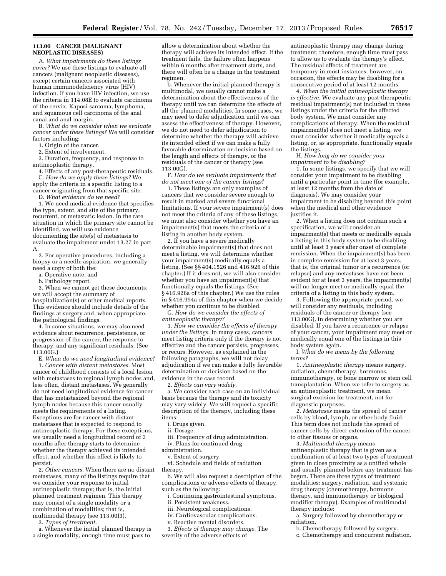#### **113.00 CANCER (MALIGNANT NEOPLASTIC DISEASES)**

A. *What impairments do these listings cover?* We use these listings to evaluate all cancers (malignant neoplastic diseases), except certain cancers associated with human immunodeficiency virus (HIV) infection. If you have HIV infection, we use the criteria in 114.08E to evaluate carcinoma of the cervix, Kaposi sarcoma, lymphoma, and squamous cell carcinoma of the anal canal and anal margin.

B. *What do we consider when we evaluate cancer under these listings?* We will consider factors including:

1. Origin of the cancer.

2. Extent of involvement.

3. Duration, frequency, and response to antineoplastic therapy.

4. Effects of any post-therapeutic residuals. C. *How do we apply these listings?* We apply the criteria in a specific listing to a cancer originating from that specific site.

D. *What evidence do we need?* 

1. We need medical evidence that specifies the type, extent, and site of the primary, recurrent, or metastatic lesion. In the rare situation in which the primary site cannot be identified, we will use evidence documenting the site(s) of metastasis to evaluate the impairment under 13.27 in part A.

2. For operative procedures, including a biopsy or a needle aspiration, we generally need a copy of both the:

a. Operative note, and

b. Pathology report.

3. When we cannot get these documents, we will accept the summary of hospitalization(s) or other medical reports. This evidence should include details of the findings at surgery and, when appropriate, the pathological findings.

4. In some situations, we may also need evidence about recurrence, persistence, or progression of the cancer, the response to therapy, and any significant residuals. (See 113.00G.)

E. *When do we need longitudinal evidence?*  1. *Cancer with distant metastases.* Most cancer of childhood consists of a local lesion with metastases to regional lymph nodes and, less often, distant metastases. We generally do not need longitudinal evidence for cancer that has metastasized beyond the regional lymph nodes because this cancer usually meets the requirements of a listing. Exceptions are for cancer with distant metastases that is expected to respond to antineoplastic therapy. For these exceptions, we usually need a longitudinal record of 3 months after therapy starts to determine whether the therapy achieved its intended effect, and whether this effect is likely to persist.

2. *Other cancers.* When there are no distant metastases, many of the listings require that we consider your response to initial antineoplastic therapy; that is, the initial planned treatment regimen. This therapy may consist of a single modality or a combination of modalities; that is, multimodal therapy (see 113.00I3).

3. *Types of treatment.* 

a. Whenever the initial planned therapy is a single modality, enough time must pass to

allow a determination about whether the therapy will achieve its intended effect. If the treatment fails, the failure often happens within 6 months after treatment starts, and there will often be a change in the treatment regimen.

b. Whenever the initial planned therapy is multimodal, we usually cannot make a determination about the effectiveness of the therapy until we can determine the effects of all the planned modalities. In some cases, we may need to defer adjudication until we can assess the effectiveness of therapy. However, we do not need to defer adjudication to determine whether the therapy will achieve its intended effect if we can make a fully favorable determination or decision based on the length and effects of therapy, or the residuals of the cancer or therapy (see 113.00G).

F. *How do we evaluate impairments that do not meet one of the cancer listings?* 

1. These listings are only examples of cancers that we consider severe enough to result in marked and severe functional limitations. If your severe impairment(s) does not meet the criteria of any of these listings, we must also consider whether you have an impairment(s) that meets the criteria of a listing in another body system.

2. If you have a severe medically determinable impairment(s) that does not meet a listing, we will determine whether your impairment(s) medically equals a listing. (See §§ 404.1526 and 416.926 of this chapter.) If it does not, we will also consider whether you have an impairment(s) that functionally equals the listings. (See § 416.926a of this chapter.) We use the rules in § 416.994a of this chapter when we decide whether you continue to be disabled.

G. *How do we consider the effects of antineoplastic therapy?* 

1. *How we consider the effects of therapy under the listings.* In many cases, cancers meet listing criteria only if the therapy is not effective and the cancer persists, progresses, or recurs. However, as explained in the following paragraphs, we will not delay adjudication if we can make a fully favorable determination or decision based on the evidence in the case record.

2. *Effects can vary widely.* 

a. We consider each case on an individual basis because the therapy and its toxicity may vary widely. We will request a specific description of the therapy, including these items:

i. Drugs given.

ii. Dosage.

iii. Frequency of drug administration. iv. Plans for continued drug

administration.

v. Extent of surgery.

vi. Schedule and fields of radiation therapy.

b. We will also request a description of the complications or adverse effects of therapy, such as the following:

i. Continuing gastrointestinal symptoms.

ii. Persistent weakness.

iii. Neurological complications.

iv. Cardiovascular complications.

v. Reactive mental disorders.

3. *Effects of therapy may change.* The severity of the adverse effects of

antineoplastic therapy may change during treatment; therefore, enough time must pass to allow us to evaluate the therapy's effect. The residual effects of treatment are temporary in most instances; however, on occasion, the effects may be disabling for a consecutive period of at least 12 months.

4. *When the initial antineoplastic therapy is effective.* We evaluate any post-therapeutic residual impairment(s) not included in these listings under the criteria for the affected body system. We must consider any complications of therapy. When the residual impairment(s) does not meet a listing, we must consider whether it medically equals a listing, or, as appropriate, functionally equals the listings.

H. *How long do we consider your impairment to be disabling?* 

1. In some listings, we specify that we will consider your impairment to be disabling until a particular point in time (for example, at least 12 months from the date of diagnosis). We may consider your impairment to be disabling beyond this point when the medical and other evidence justifies it.

2. When a listing does not contain such a specification, we will consider an impairment(s) that meets or medically equals a listing in this body system to be disabling until at least 3 years after onset of complete remission. When the impairment(s) has been in complete remission for at least 3 years, that is, the original tumor or a recurrence (or relapse) and any metastases have not been evident for at least 3 years, the impairment(s) will no longer meet or medically equal the criteria of a listing in this body system.

3. Following the appropriate period, we will consider any residuals, including residuals of the cancer or therapy (see 113.00G), in determining whether you are disabled. If you have a recurrence or relapse of your cancer, your impairment may meet or medically equal one of the listings in this body system again.

I. *What do we mean by the following terms?* 

1. *Antineoplastic therapy* means surgery, radiation, chemotherapy, hormones, immunotherapy, or bone marrow or stem cell transplantation. When we refer to surgery as an antineoplastic treatment, we mean surgical excision for treatment, not for diagnostic purposes.

2. *Metastases* means the spread of cancer cells by blood, lymph, or other body fluid. This term does not include the spread of cancer cells by direct extension of the cancer to other tissues or organs.

3. *Multimodal therapy* means antineoplastic therapy that is given as a combination of at least two types of treatment given in close proximity as a unified whole and usually planned before any treatment has begun. There are three types of treatment modalities: surgery, radiation, and systemic drug therapy (chemotherapy, hormone therapy, and immunotherapy or biological modifier therapy). Examples of multimodal therapy include:

a. Surgery followed by chemotherapy or radiation.

b. Chemotherapy followed by surgery.

c. Chemotherapy and concurrent radiation.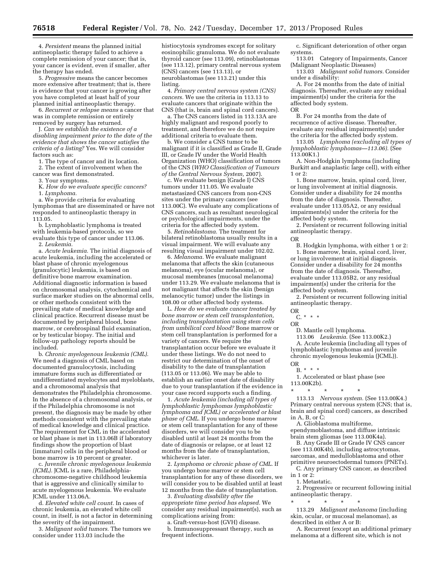4. *Persistent* means the planned initial antineoplastic therapy failed to achieve a complete remission of your cancer; that is, your cancer is evident, even if smaller, after the therapy has ended.

5. *Progressive* means the cancer becomes more extensive after treatment; that is, there is evidence that your cancer is growing after you have completed at least half of your planned initial antineoplastic therapy.

6. *Recurrent or relapse means* a cancer that was in complete remission or entirely removed by surgery has returned.

J. *Can we establish the existence of a disabling impairment prior to the date of the evidence that shows the cancer satisfies the criteria of a listing?* Yes. We will consider factors such as:

1. The type of cancer and its location. 2. The extent of involvement when the

cancer was first demonstrated. 3. Your symptoms.

K. *How do we evaluate specific cancers?* 

1. *Lymphoma.* 

a. We provide criteria for evaluating lymphomas that are disseminated or have not responded to antineoplastic therapy in 113.05.

b. Lymphoblastic lymphoma is treated with leukemia-based protocols, so we evaluate this type of cancer under 113.06.

2. *Leukemia.* 

a. *Acute leukemia.* The initial diagnosis of acute leukemia, including the accelerated or blast phase of chronic myelogenous (granulocytic) leukemia, is based on definitive bone marrow examination. Additional diagnostic information is based on chromosomal analysis, cytochemical and surface marker studies on the abnormal cells, or other methods consistent with the prevailing state of medical knowledge and clinical practice. Recurrent disease must be documented by peripheral blood, bone marrow, or cerebrospinal fluid examination, or by testicular biopsy. The initial and follow-up pathology reports should be included.

b. *Chronic myelogenous leukemia (CML).*  We need a diagnosis of CML based on documented granulocytosis, including immature forms such as differentiated or undifferentiated myelocytes and myeloblasts, and a chromosomal analysis that demonstrates the Philadelphia chromosome. In the absence of a chromosomal analysis, or if the Philadelphia chromosome is not present, the diagnosis may be made by other methods consistent with the prevailing state of medical knowledge and clinical practice. The requirement for CML in the accelerated or blast phase is met in 113.06B if laboratory findings show the proportion of blast (immature) cells in the peripheral blood or bone marrow is 10 percent or greater.

c. *Juvenile chronic myelogenous leukemia (JCML).* JCML is a rare, Philadelphiachromosome-negative childhood leukemia that is aggressive and clinically similar to acute myelogenous leukemia. We evaluate JCML under 113.06A.

d. *Elevated white cell count.* In cases of chronic leukemia, an elevated white cell count, in itself, is not a factor in determining the severity of the impairment.

3. *Malignant solid tumors.* The tumors we consider under 113.03 include the

histiocytosis syndromes except for solitary eosinophilic granuloma. We do not evaluate thyroid cancer (see 113.09), retinoblastomas (see 113.12), primary central nervous system (CNS) cancers (see 113.13), or neuroblastomas (see 113.21) under this listing.

4. *Primary central nervous system (CNS) cancers.* We use the criteria in 113.13 to evaluate cancers that originate within the CNS (that is, brain and spinal cord cancers).

a. The CNS cancers listed in 113.13A are highly malignant and respond poorly to treatment, and therefore we do not require additional criteria to evaluate them.

b. We consider a CNS tumor to be malignant if it is classified as Grade II, Grade III, or Grade IV under the World Health Organization (WHO) classification of tumors of the CNS (*WHO Classification of Tumours of the Central Nervous System,* 2007).

c. We evaluate benign (Grade I) CNS tumors under 111.05. We evaluate metastasized CNS cancers from non-CNS sites under the primary cancers (see 113.00C). We evaluate any complications of CNS cancers, such as resultant neurological or psychological impairments, under the criteria for the affected body system.

5. *Retinoblastoma.* The treatment for bilateral retinoblastoma usually results in a visual impairment. We will evaluate any resulting visual impairment under 102.02.

6. *Melanoma.* We evaluate malignant melanoma that affects the skin (cutaneous melanoma), eye (ocular melanoma), or mucosal membranes (mucosal melanoma) under 113.29. We evaluate melanoma that is not malignant that affects the skin (benign melanocytic tumor) under the listings in 108.00 or other affected body systems.

L. *How do we evaluate cancer treated by bone marrow or stem cell transplantation, including transplantation using stem cells from umbilical cord blood?* Bone marrow or stem cell transplantation is performed for a variety of cancers. We require the transplantation occur before we evaluate it under these listings. We do not need to restrict our determination of the onset of disability to the date of transplantation (113.05 or 113.06). We may be able to establish an earlier onset date of disability due to your transplantation if the evidence in your case record supports such a finding.

1. *Acute leukemia (including all types of lymphoblastic lymphomas lymphoblastic lymphoma and JCML) or accelerated or blast phase of CML.* If you undergo bone marrow or stem cell transplantation for any of these disorders, we will consider you to be disabled until at least 24 months from the date of diagnosis or relapse, or at least 12 months from the date of transplantation, whichever is later.

2. *Lymphoma or chronic phase of CML.* If you undergo bone marrow or stem cell transplantation for any of these disorders, we will consider you to be disabled until at least 12 months from the date of transplantation.

3. *Evaluating disability after the appropriate time period has elapsed.* We consider any residual impairment(s), such as complications arising from:

a. Graft-versus-host (GVH) disease. b. Immunosuppressant therapy, such as frequent infections.

c. Significant deterioration of other organ systems.

113.01 Category of Impairments, Cancer (Malignant Neoplastic Diseases)

113.03 *Malignant solid tumors.* Consider under a disability:

A. For 24 months from the date of initial diagnosis. Thereafter, evaluate any residual impairment(s) under the criteria for the affected body system. OR

B. For 24 months from the date of recurrence of active disease. Thereafter, evaluate any residual impairment(s) under the criteria for the affected body system.

113.05 *Lymphoma (excluding all types of lymphoblastic lymphomas—113.06).* (See 113.00K1.)

A. Non-Hodgkin lymphoma (including Burkitt and anaplastic large cell), with either 1 or 2:

1. Bone marrow, brain, spinal cord, liver, or lung involvement at initial diagnosis. Consider under a disability for 24 months from the date of diagnosis. Thereafter, evaluate under 113.05A2, or any residual impairments(s) under the criteria for the affected body system.

2. Persistent or recurrent following initial antineoplastic therapy.

OR

B. Hodgkin lymphoma, with either 1 or 2: 1. Bone marrow, brain, spinal cord, liver, or lung involvement at initial diagnosis. Consider under a disability for 24 months from the date of diagnosis. Thereafter, evaluate under 113.05B2, or any residual impairment(s) under the criteria for the affected body system.

2. Persistent or recurrent following initial antineoplastic therapy.

OR C. \* \* \*

OR

D. Mantle cell lymphoma.

113.06 *Leukemia.* (See 113.00K2.)

A. Acute leukemia (including all types of lymphoblastic lymphomas and juvenile chronic myelogenous leukemia (JCML)). OR

B. \* \* \*

1. Accelerated or blast phase (see 113.00K2b).

\* \* \* \* \* 113.13 *Nervous system.* (See 113.00K4.) Primary central nervous system (CNS; that is, brain and spinal cord) cancers, as described in A, B, or C:

A. Glioblastoma multiforme, ependymoblastoma, and diffuse intrinsic brain stem gliomas (see 113.00K4a).

B. Any Grade III or Grade IV CNS cancer (see 113.00K4b), including astrocytomas, sarcomas, and medulloblastoma and other primitive neuroectodermal tumors (PNETs).

C. Any primary CNS cancer, as described in 1 or 2:

1. Metastatic.

2. Progressive or recurrent following initial antineoplastic therapy.

\* \* \* \* \* 113.29 *Malignant melanoma* (including

skin, ocular, or mucosal melanomas), as described in either A or B:

A. Recurrent (except an additional primary melanoma at a different site, which is not